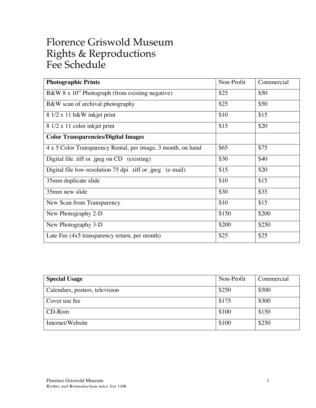## Florence Griswold Museum Rights & Reproductions Fee Schedule

| <b>Photographic Prints</b>                                   | Non-Profit | Commercial |
|--------------------------------------------------------------|------------|------------|
| B&W 8 x 10" Photograph (from existing negative)              | \$25       | \$50       |
| B&W scan of archival photography                             | \$25       | \$50       |
| 8 1/2 x 11 b&W inkjet print                                  | \$10       | \$15       |
| 8 1/2 x 11 color inkjet print                                | \$15       | \$20       |
| <b>Color Transparencies/Digital Images</b>                   |            |            |
| 4 x 5 Color Transparency Rental, per image, 3 month, on hand | \$65       | \$75       |
| Digital file .tiff or .jpeg on CD (existing)                 | \$30       | \$40       |
| Digital file low-resolution 75 dpi .tiff or .jpeg (e-mail)   | \$15       | \$20       |
| 35mm duplicate slide                                         | \$10       | \$15       |
| 35mm new slide                                               | \$30       | \$35       |
| New Scan from Transparency                                   | \$10       | \$15       |
| New Photography 2-D                                          | \$150      | \$200      |
| New Photography 3-D                                          | \$200      | \$250      |
| Late Fee $(4x5$ transparency return, per month)              | \$25       | \$25       |

| <b>Special Usage</b>           | Non-Profit | Commercial |
|--------------------------------|------------|------------|
| Calendars, posters, television | \$250      | \$500      |
| Cover use fee                  | \$175      | \$300      |
| CD-Rom                         | \$100      | \$150      |
| Internet/Website               | \$100      | \$250      |